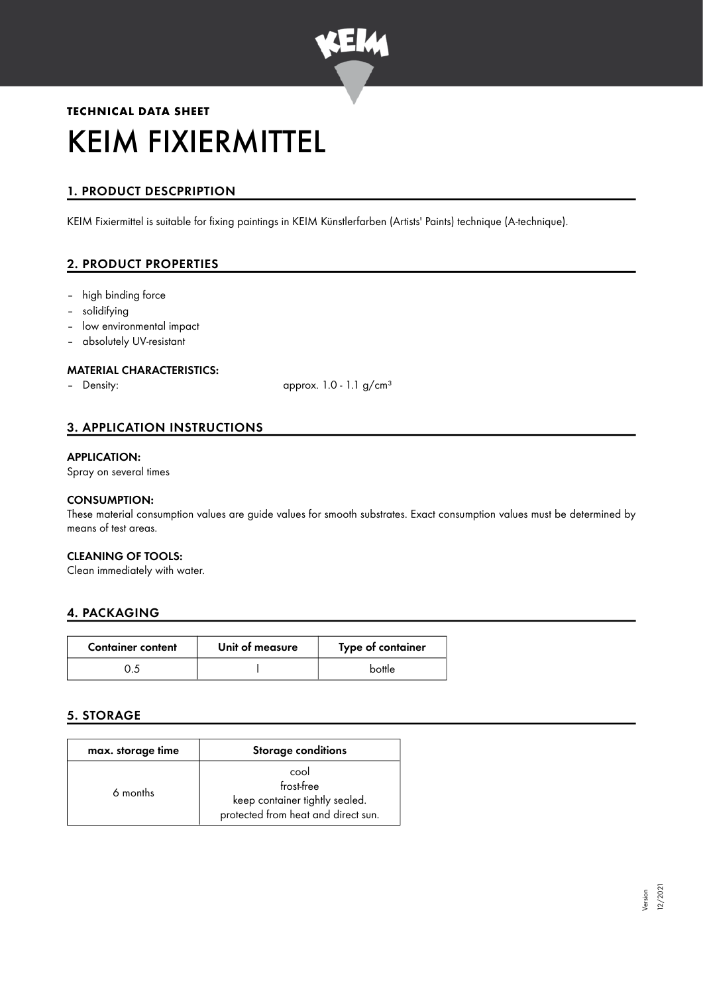

# **TECHNICAL DATA SHEET** KEIM FIXIERMITTEL

# 1. PRODUCT DESCPRIPTION

KEIM Fixiermittel is suitable for fixing paintings in KEIM Künstlerfarben (Artists' Paints) technique (A-technique).

# 2. PRODUCT PROPERTIES

- high binding force
- solidifying
- low environmental impact
- absolutely UV-resistant

#### MATERIAL CHARACTERISTICS:

– Density: approx. 1.0 - 1.1 g/cm<sup>3</sup>

# 3. APPLICATION INSTRUCTIONS

#### APPLICATION:

Spray on several times

#### CONSUMPTION:

These material consumption values are guide values for smooth substrates. Exact consumption values must be determined by means of test areas.

#### CLEANING OF TOOLS:

Clean immediately with water.

#### 4. PACKAGING

| <b>Container content</b> | Unit of measure | Type of container |
|--------------------------|-----------------|-------------------|
|                          |                 | bottle            |

# 5. STORAGE

| max. storage time | <b>Storage conditions</b>                                                                   |
|-------------------|---------------------------------------------------------------------------------------------|
| 6 months          | cool<br>frost-free<br>keep container tightly sealed.<br>protected from heat and direct sun. |